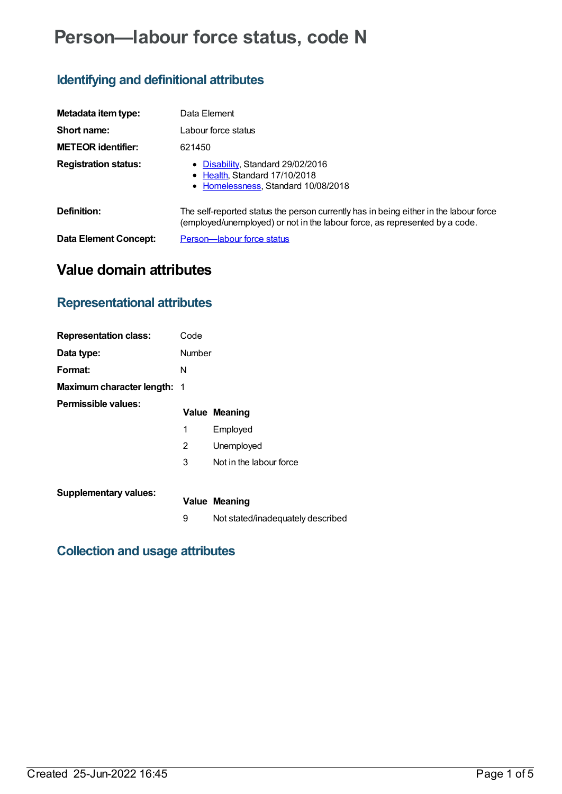# **Person—labour force status, code N**

## **Identifying and definitional attributes**

| Metadata item type:          | Data Element                                                                                                                                                         |
|------------------------------|----------------------------------------------------------------------------------------------------------------------------------------------------------------------|
| Short name:                  | Labour force status                                                                                                                                                  |
| <b>METEOR identifier:</b>    | 621450                                                                                                                                                               |
| <b>Registration status:</b>  | • Disability, Standard 29/02/2016<br>• Health, Standard 17/10/2018<br>• Homelessness, Standard 10/08/2018                                                            |
| Definition:                  | The self-reported status the person currently has in being either in the labour force<br>(employed/unemployed) or not in the labour force, as represented by a code. |
| <b>Data Element Concept:</b> | Person-labour force status                                                                                                                                           |

## **Value domain attributes**

## **Representational attributes**

| <b>Representation class:</b>       | Code   |                                   |
|------------------------------------|--------|-----------------------------------|
| Data type:                         | Number |                                   |
| Format:                            | N      |                                   |
| <b>Maximum character length: 1</b> |        |                                   |
| Permissible values:                |        | <b>Value Meaning</b>              |
|                                    | 1      | Employed                          |
|                                    | 2      | Unemployed                        |
|                                    | 3      | Not in the labour force           |
| <b>Supplementary values:</b>       |        | Value Meaning                     |
|                                    | 9      | Not stated/inadequately described |

### **Collection and usage attributes**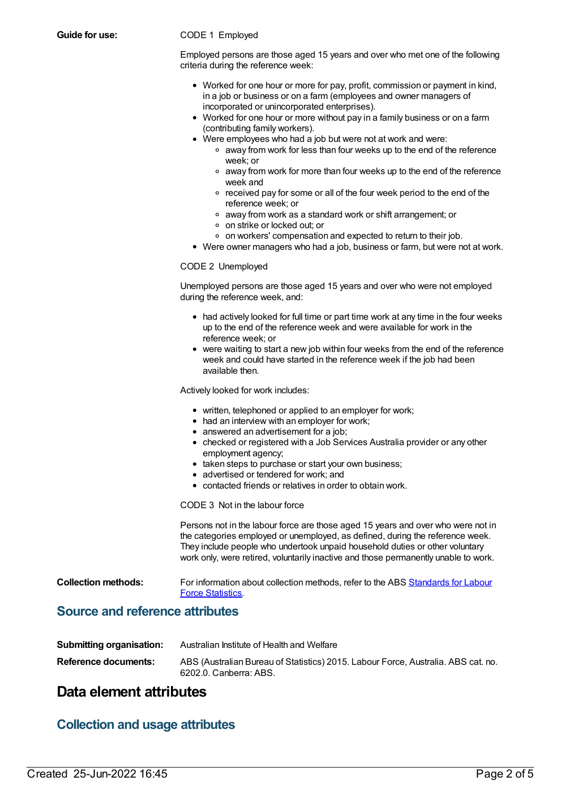#### **Guide for use:** CODE 1 Employed

Employed persons are those aged 15 years and over who met one of the following criteria during the reference week:

- Worked for one hour or more for pay, profit, commission or payment in kind, in a job or business or on a farm (employees and owner managers of incorporated or unincorporated enterprises).
- Worked for one hour or more without pay in a family business or on a farm (contributing family workers).
- Were employees who had a job but were not at work and were:
	- away from work for less than four weeks up to the end of the reference week; or
	- away from work for more than four weeks up to the end of the reference week and
	- received pay for some or all of the four week period to the end of the reference week; or
	- away from work as a standard work or shift arrangement; or
	- on strike or locked out; or
	- on workers' compensation and expected to return to their job.
- Were owner managers who had a job, business or farm, but were not at work.

#### CODE 2 Unemployed

Unemployed persons are those aged 15 years and over who were not employed during the reference week, and:

- had actively looked for full time or part time work at any time in the four weeks up to the end of the reference week and were available for work in the reference week; or
- were waiting to start a new job within four weeks from the end of the reference week and could have started in the reference week if the job had been available then.

Actively looked for work includes:

- written, telephoned or applied to an employer for work;
- had an interview with an employer for work;
- answered an advertisement for a job:
- checked or registered with a Job Services Australia provider or any other employment agency;
- taken steps to purchase or start your own business;
- advertised or tendered for work; and
- contacted friends or relatives in order to obtain work.

CODE 3 Not in the labour force

Persons not in the labour force are those aged 15 years and over who were not in the categories employed or unemployed, as defined, during the reference week. They include people who undertook unpaid household duties or other voluntary work only, were retired, voluntarily inactive and those permanently unable to work.

**Collection methods:** For [information](http://www.abs.gov.au/AUSSTATS/abs@.nsf/allprimarymainfeatures/5DB5CF7FE010E9C5CA25722E0017B26E?opendocument) about collection methods, refer to the ABS Standards for Labour Force Statistics.

### **Source and reference attributes**

| <b>Submitting organisation:</b> | Australian Institute of Health and Welfare                                                                  |
|---------------------------------|-------------------------------------------------------------------------------------------------------------|
| Reference documents:            | ABS (Australian Bureau of Statistics) 2015. Labour Force, Australia. ABS cat. no.<br>6202.0. Canberra: ABS. |

### **Data element attributes**

### **Collection and usage attributes**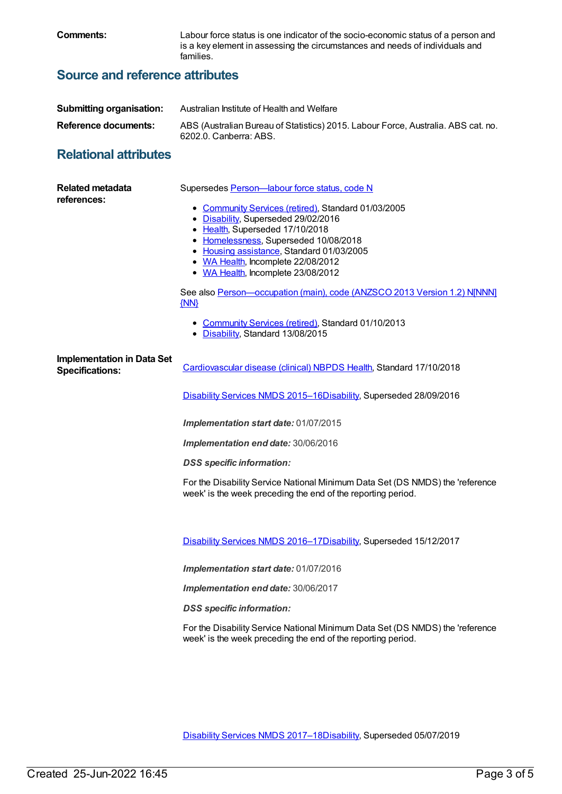**Comments:** Labour force status is one indicator of the socio-economic status of a person and is a key element in assessing the circumstances and needs of individuals and families.

## **Source and reference attributes**

| <b>Submitting organisation:</b> | Australian Institute of Health and Welfare                                                                  |
|---------------------------------|-------------------------------------------------------------------------------------------------------------|
| Reference documents:            | ABS (Australian Bureau of Statistics) 2015. Labour Force, Australia. ABS cat. no.<br>6202.0. Canberra: ABS. |

## **Relational attributes**

| <b>Related metadata</b><br>references:                      | Supersedes Person-labour force status, code N<br>• Community Services (retired), Standard 01/03/2005<br>• Disability, Superseded 29/02/2016<br>• Health, Superseded 17/10/2018<br>• Homelessness, Superseded 10/08/2018<br>• Housing assistance, Standard 01/03/2005<br>• WA Health, Incomplete 22/08/2012<br>• WA Health, Incomplete 23/08/2012<br>See also Person-occupation (main), code (ANZSCO 2013 Version 1.2) N[NNN]<br>${MN}$<br>• Community Services (retired), Standard 01/10/2013<br>• Disability, Standard 13/08/2015 |
|-------------------------------------------------------------|------------------------------------------------------------------------------------------------------------------------------------------------------------------------------------------------------------------------------------------------------------------------------------------------------------------------------------------------------------------------------------------------------------------------------------------------------------------------------------------------------------------------------------|
| <b>Implementation in Data Set</b><br><b>Specifications:</b> | Cardiovascular disease (clinical) NBPDS Health, Standard 17/10/2018<br>Disability Services NMDS 2015-16Disability, Superseded 28/09/2016                                                                                                                                                                                                                                                                                                                                                                                           |
|                                                             |                                                                                                                                                                                                                                                                                                                                                                                                                                                                                                                                    |
|                                                             | Implementation start date: 01/07/2015                                                                                                                                                                                                                                                                                                                                                                                                                                                                                              |
|                                                             | Implementation end date: 30/06/2016                                                                                                                                                                                                                                                                                                                                                                                                                                                                                                |
|                                                             | <b>DSS</b> specific information:                                                                                                                                                                                                                                                                                                                                                                                                                                                                                                   |
|                                                             | For the Disability Service National Minimum Data Set (DS NMDS) the 'reference<br>week' is the week preceding the end of the reporting period.                                                                                                                                                                                                                                                                                                                                                                                      |
|                                                             | Disability Services NMDS 2016-17Disability, Superseded 15/12/2017                                                                                                                                                                                                                                                                                                                                                                                                                                                                  |
|                                                             | Implementation start date: 01/07/2016                                                                                                                                                                                                                                                                                                                                                                                                                                                                                              |
|                                                             | Implementation end date: 30/06/2017                                                                                                                                                                                                                                                                                                                                                                                                                                                                                                |
|                                                             | <b>DSS</b> specific information:                                                                                                                                                                                                                                                                                                                                                                                                                                                                                                   |
|                                                             | For the Disability Service National Minimum Data Set (DS NMDS) the 'reference<br>week' is the week preceding the end of the reporting period.                                                                                                                                                                                                                                                                                                                                                                                      |
|                                                             |                                                                                                                                                                                                                                                                                                                                                                                                                                                                                                                                    |

[Disability](https://meteor.aihw.gov.au/content/664954) Services NMDS 2017–1[8Disability](https://meteor.aihw.gov.au/RegistrationAuthority/16), Superseded 05/07/2019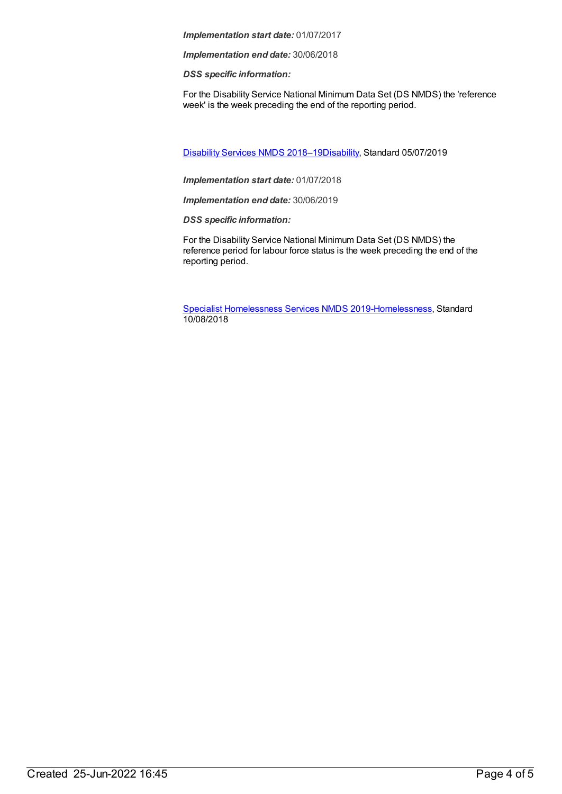*Implementation start date:* 01/07/2017

*Implementation end date:* 30/06/2018

*DSS specific information:*

For the Disability Service National Minimum Data Set (DS NMDS) the 'reference week' is the week preceding the end of the reporting period.

[Disability](https://meteor.aihw.gov.au/content/698074) Services NMDS 2018–1[9Disability](https://meteor.aihw.gov.au/RegistrationAuthority/16), Standard 05/07/2019

*Implementation start date:* 01/07/2018

*Implementation end date:* 30/06/2019

*DSS specific information:*

For the Disability Service National Minimum Data Set (DS NMDS) the reference period for labour force status is the week preceding the end of the reporting period.

Specialist [Homelessness](https://meteor.aihw.gov.au/content/689064) Services NMDS 2019[-Homelessness](https://meteor.aihw.gov.au/RegistrationAuthority/14), Standard 10/08/2018